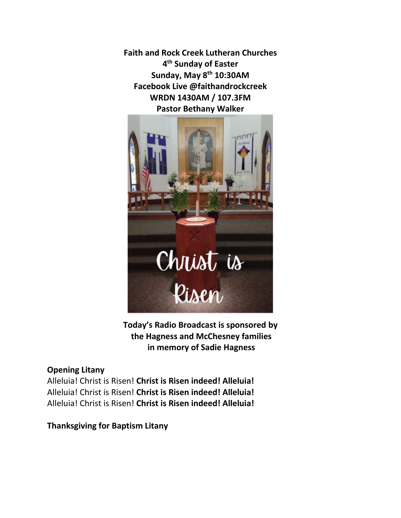**Faith and Rock Creek Lutheran Churches 4 th Sunday of Easter Sunday, May 8 th 10:30AM Facebook Live @faithandrockcreek WRDN 1430AM / 107.3FM Pastor Bethany Walker**



**Today's Radio Broadcast is sponsored by the Hagness and McChesney families in memory of Sadie Hagness**

### **Opening Litany**

Alleluia! Christ is Risen! **Christ is Risen indeed! Alleluia!** Alleluia! Christ is Risen! **Christ is Risen indeed! Alleluia!** Alleluia! Christ is Risen! **Christ is Risen indeed! Alleluia!**

**Thanksgiving for Baptism Litany**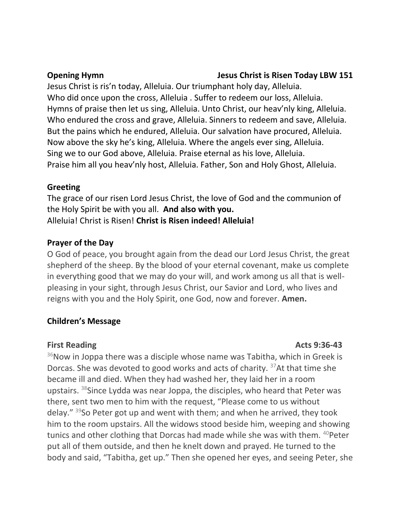# **Opening Hymn** Jesus Christ is Risen Today LBW 151

Jesus Christ is ris'n today, Alleluia. Our triumphant holy day, Alleluia. Who did once upon the cross, Alleluia . Suffer to redeem our loss, Alleluia. Hymns of praise then let us sing, Alleluia. Unto Christ, our heav'nly king, Alleluia. Who endured the cross and grave, Alleluia. Sinners to redeem and save, Alleluia. But the pains which he endured, Alleluia. Our salvation have procured, Alleluia. Now above the sky he's king, Alleluia. Where the angels ever sing, Alleluia. Sing we to our God above, Alleluia. Praise eternal as his love, Alleluia. Praise him all you heav'nly host, Alleluia. Father, Son and Holy Ghost, Alleluia.

## **Greeting**

The grace of our risen Lord Jesus Christ, the love of God and the communion of the Holy Spirit be with you all. **And also with you.**  Alleluia! Christ is Risen! **Christ is Risen indeed! Alleluia!**

# **Prayer of the Day**

O God of peace, you brought again from the dead our Lord Jesus Christ, the great shepherd of the sheep. By the blood of your eternal covenant, make us complete in everything good that we may do your will, and work among us all that is wellpleasing in your sight, through Jesus Christ, our Savior and Lord, who lives and reigns with you and the Holy Spirit, one God, now and forever. **Amen.**

# **Children's Message**

# **First Reading Acts 9:36-43**

 $36$ Now in Joppa there was a disciple whose name was Tabitha, which in Greek is Dorcas. She was devoted to good works and acts of charity.  $37$ At that time she became ill and died. When they had washed her, they laid her in a room upstairs.  $38$ Since Lydda was near Joppa, the disciples, who heard that Peter was there, sent two men to him with the request, "Please come to us without delay." <sup>39</sup>So Peter got up and went with them; and when he arrived, they took him to the room upstairs. All the widows stood beside him, weeping and showing tunics and other clothing that Dorcas had made while she was with them. <sup>40</sup>Peter put all of them outside, and then he knelt down and prayed. He turned to the body and said, "Tabitha, get up." Then she opened her eyes, and seeing Peter, she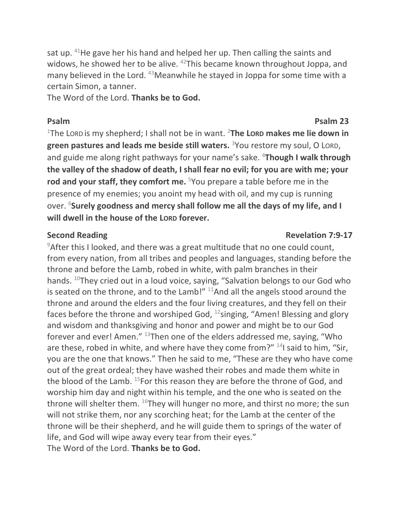sat up. <sup>41</sup>He gave her his hand and helped her up. Then calling the saints and widows, he showed her to be alive. <sup>42</sup>This became known throughout Joppa, and many believed in the Lord. <sup>43</sup>Meanwhile he stayed in Joppa for some time with a certain Simon, a tanner.

The Word of the Lord. **Thanks be to God.** 

# <sup>1</sup>The LORD is my shepherd; I shall not be in want. <sup>2</sup>**The LORD makes me lie down in green pastures and leads me beside still waters.** <sup>3</sup>You restore my soul, O LORD, and guide me along right pathways for your name's sake. <sup>4</sup>**Though I walk through the valley of the shadow of death, I shall fear no evil; for you are with me; your rod and your staff, they comfort me.** <sup>5</sup>You prepare a table before me in the presence of my enemies; you anoint my head with oil, and my cup is running over. 6 **Surely goodness and mercy shall follow me all the days of my life, and I will dwell in the house of the LORD forever.**

# $9$ After this I looked, and there was a great multitude that no one could count, from every nation, from all tribes and peoples and languages, standing before the throne and before the Lamb, robed in white, with palm branches in their hands. <sup>10</sup>They cried out in a loud voice, saying, "Salvation belongs to our God who is seated on the throne, and to the Lamb!"  $11$ And all the angels stood around the throne and around the elders and the four living creatures, and they fell on their faces before the throne and worshiped God,  $^{12}$ singing, "Amen! Blessing and glory and wisdom and thanksgiving and honor and power and might be to our God forever and ever! Amen." <sup>13</sup>Then one of the elders addressed me, saying, "Who are these, robed in white, and where have they come from?" <sup>14</sup>I said to him, "Sir, you are the one that knows." Then he said to me, "These are they who have come out of the great ordeal; they have washed their robes and made them white in the blood of the Lamb.  $^{15}$ For this reason they are before the throne of God, and worship him day and night within his temple, and the one who is seated on the throne will shelter them.  $^{16}$ They will hunger no more, and thirst no more; the sun will not strike them, nor any scorching heat; for the Lamb at the center of the throne will be their shepherd, and he will guide them to springs of the water of life, and God will wipe away every tear from their eyes."

The Word of the Lord. **Thanks be to God.** 

# **Psalm Psalm 23**

**Second Reading Constraining Revelation 7:9-17**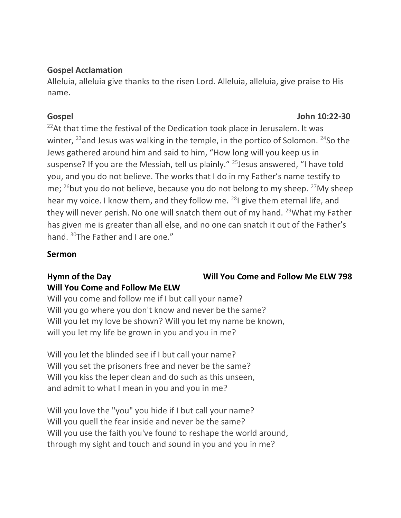### **Gospel Acclamation**

Alleluia, alleluia give thanks to the risen Lord. Alleluia, alleluia, give praise to His name.

### **Gospel John 10:22-30**

 $22$ At that time the festival of the Dedication took place in Jerusalem. It was winter,  $^{23}$  and Jesus was walking in the temple, in the portico of Solomon.  $^{24}$ So the Jews gathered around him and said to him, "How long will you keep us in suspense? If you are the Messiah, tell us plainly." <sup>25</sup>Jesus answered, "I have told you, and you do not believe. The works that I do in my Father's name testify to me;  $^{26}$ but you do not believe, because you do not belong to my sheep.  $^{27}$ My sheep hear my voice. I know them, and they follow me. <sup>28</sup>I give them eternal life, and they will never perish. No one will snatch them out of my hand. <sup>29</sup>What my Father has given me is greater than all else, and no one can snatch it out of the Father's hand. <sup>30</sup>The Father and I are one."

# **Sermon**

# **Hymn of the Day Will You Come and Follow Me ELW 798 Will You Come and Follow Me ELW**

Will you come and follow me if I but call your name? Will you go where you don't know and never be the same? Will you let my love be shown? Will you let my name be known, will you let my life be grown in you and you in me?

Will you let the blinded see if I but call your name? Will you set the prisoners free and never be the same? Will you kiss the leper clean and do such as this unseen, and admit to what I mean in you and you in me?

Will you love the "you" you hide if I but call your name? Will you quell the fear inside and never be the same? Will you use the faith you've found to reshape the world around, through my sight and touch and sound in you and you in me?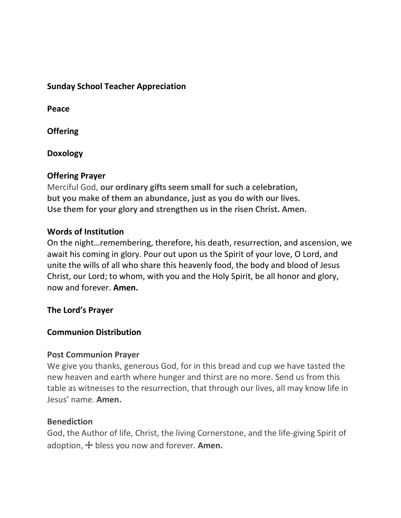### **Sunday School Teacher Appreciation**

**Peace**

**Offering** 

**Doxology**

## **Offering Prayer**

Merciful God, **our ordinary gifts seem small for such a celebration, but you make of them an abundance, just as you do with our lives. Use them for your glory and strengthen us in the risen Christ. Amen.**

## **Words of Institution**

On the night…remembering, therefore, his death, resurrection, and ascension, we await his coming in glory. Pour out upon us the Spirit of your love, O Lord, and unite the wills of all who share this heavenly food, the body and blood of Jesus Christ, our Lord; to whom, with you and the Holy Spirit, be all honor and glory, now and forever. **Amen.**

# **The Lord's Prayer**

# **Communion Distribution**

### **Post Communion Prayer**

We give you thanks, generous God, for in this bread and cup we have tasted the new heaven and earth where hunger and thirst are no more. Send us from this table as witnesses to the resurrection, that through our lives, all may know life in Jesus' name. **Amen.**

### **Benediction**

God, the Author of life, Christ, the living Cornerstone, and the life-giving Spirit of adoption, ☩ bless you now and forever. **Amen.**